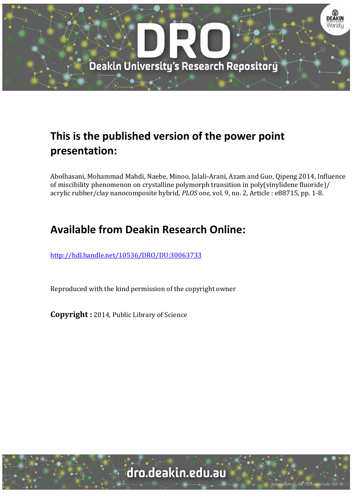

# **This is the published version of the power point presentation:**

Abolhasani, Mohammad Mahdi, Naebe, Minoo, Jalali-Arani, Azam and Guo, Qipeng 2014, Influence of miscibility phenomenon on crystalline polymorph transition in poly(vinylidene fluoride)/ acrylic rubber/clay nanocomposite hybrid, *PLOS one*, vol. 9, no. 2, Article : e88715, pp. 1-8.

# **Available from Deakin Research Online:**

http://hdl.handle.net/10536/DRO/DU:30063733

Reproduced with the kind permission of the copyright owner

**Copyright** : 2014, Public Library of Science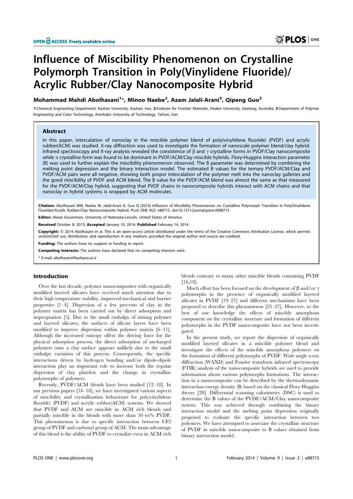# Influence of Miscibility Phenomenon on Crystalline Polymorph Transition in Poly(Vinylidene Fluoride)/ Acrylic Rubber/Clay Nanocomposite Hybrid

# Mohammad Mahdi Abolhasani<sup>1</sup>\*, Minoo Naebe<sup>2</sup>, Azam Jalali-Arani<sup>3</sup>, Qipeng Guo<sup>2</sup>

1 Chemical Engineering Department, Kashan University, Kashan, Iran, 2 Institute for Frontier Materials, Deakin University, Geelong, Australia, 3Department of Polymer Engineering and Color Technology, Amirkabir University of Technology, Tehran, Iran

## Abstract

In this paper, intercalation of nanoclay in the miscible polymer blend of poly(vinylidene fluoride) (PVDF) and acrylic rubber(ACM) was studied. X-ray diffraction was used to investigate the formation of nanoscale polymer blend/clay hybrid. Infrared spectroscopy and X-ray analysis revealed the coexistence of  $\beta$  and  $\gamma$  crystalline forms in PVDF/Clay nanocomposite while  $\alpha$  crystalline form was found to be dominant in PVDF/ACM/Clay miscible hybrids. Flory-Huggins interaction parameter (B) was used to further explain the miscibility phenomenon observed. The B parameter was determined by combining the melting point depression and the binary interaction model. The estimated B values for the ternary PVDF/ACM/Clay and PVDF/ACM pairs were all negative, showing both proper intercalation of the polymer melt into the nanoclay galleries and the good miscibility of PVDF and ACM blend. The B value for the PVDF/ACM blend was almost the same as that measured for the PVDF/ACM/Clay hybrid, suggesting that PVDF chains in nanocomposite hybrids interact with ACM chains and that nanoclay in hybrid systems is wrapped by ACM molecules.

Citation: Abolhasani MM, Naebe M, Jalali-Arani A, Guo Q (2014) Influence of Miscibility Phenomenon on Crystalline Polymorph Transition in Poly(Vinylidene Fluoride)/Acrylic Rubber/Clay Nanocomposite Hybrid. PLoS ONE 9(2): e88715. doi:10.1371/journal.pone.0088715

Editor: Alexei Gruverman, University of Nebraska-Lincoln, United States of America

Received October 8, 2013; Accepted January 10, 2014; Published February 14, 2014

Copyright: © 2014 Abolhasani et al. This is an open-access article distributed under the terms of the Creative Commons Attribution License, which permits unrestricted use, distribution, and reproduction in any medium, provided the original author and source are credited.

Funding: The authors have no support or funding to report.

Competing Interests: The authors have declared that no competing interests exist.

\* E-mail: abolhasani@kashanu.ac.ir

## Introduction

Over the last decade, polymer nanocomposites with organically modified layered silicates have received much attention due to their high temperature stability, improved mechanical and barrier properties [1–4]. Dispersion of a few precents of clay in the polymer matrix has been carried out by direct adsorption and impregnation [5]. Due to the small enthalpy of mixing polymer and layered silicates, the surfaces of silicate layers have been modified to improve dispersion within polymer matrix [6–11]. Although the increased entropy offers the driving force for the physical adsorption process, the direct adsorption of uncharged polymers onto a clay surface appears unlikely due to the small enthalpy variation of this process. Consequently, the specific interactions driven by hydrogen bonding and/or dipole-dipole interaction play an important role to increase both the regular dispersion of clay platelets and the change in crystalline polymorphs of polymers.

Recently, PVDF/ACM blends have been studied [12–18]. In our previous papers [16–18], we have investigated various aspects of miscibility and crystallization behaviours for poly(vinylidene fluoride) (PVDF) and acrylic rubber(ACM) systems. We showed that PVDF and ACM are miscible in ACM rich blends and partially miscible in the blends with more than 50 wt% PVDF. This phenomenon is due to specific interaction between CF2 group of PVDF and carbonyl group of ACM. The main advantage of this blend is the ability of PVDF to crystalize even in ACM rich

blends contrary to many other miscible blends containing PVDF [16,18].

Much effort has been focused on the development of  $\beta$  and/or  $\gamma$ polymorphs in the presence of organically modified layered silicates in PVDF [19–27] and different mechanisms have been proposed to describe this phenomenon [25–27]. However, to the best of our knowledge the effects of miscible amorphous component on the crystalline structure and formation of different polymorphs in the PVDF nanocomposite have not been investigated.

In the present study, we report the dispersion of organically modified layered silicates in a miscible polymer blend and investigate the effects of the miscible amorphous polymers on the formation of different polymorphs of PVDF. Wide angle x-ray diffraction (WAXD) and Fourier transform infrared spectroscopy (FTIR) analysis of the nanocomposite hybrids are used to provide information about various polymorphs formations. The interaction in a nanocomposite can be described by the thermodynamic interaction energy density (B) based on the classical Flory-Huggins theory [28]. Differential scanning calorimetry (DSC) is used to determine the B values of the PVDF/ACM/Clay nanocomposite system. This was achieved through combining the binary interaction model and the melting point depression originally proposed to evaluate the specific interaction between two polymers. We have attempted to associate the crystalline structure of PVDF in miscible nanocomposite to B values obtained from binary interaction model.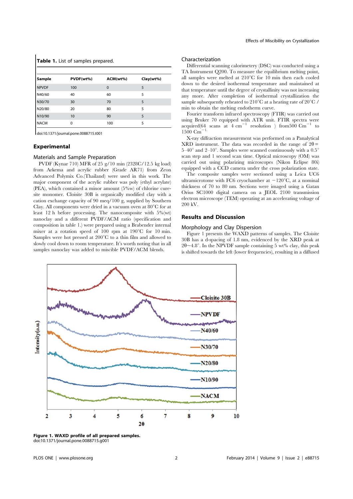|              | <b>Table 1.</b> List of samples prepared. |             |           |  |  |
|--------------|-------------------------------------------|-------------|-----------|--|--|
| Sample       | PVDF(wt%)                                 | ACM(wt%)    | Clay(wt%) |  |  |
| <b>NPVDF</b> | 100                                       | $\mathbf 0$ | 5         |  |  |
| N40/60       | 40                                        | 60          | 5         |  |  |
| N30/70       | 30                                        | 70          | 5         |  |  |
| N20/80       | 20                                        | 80          | 5         |  |  |
| N10/90       | 10                                        | 90          | 5         |  |  |
| <b>NACM</b>  | $\Omega$                                  | 100         | 5         |  |  |

doi:10.1371/journal.pone.0088715.t001

## Experimental

#### Materials and Sample Preparation

PVDF (Kynar 710) MFR of 25 g/10 min (2328C/12.5 kg load) from Arkema and acrylic rubber (Grade AR71) from Zeon Advanced Polymix Co.(Thailand) were used in this work. The major component of the acrylic rubber was poly (ethyl acrylate) (PEA), which contained a minor amount (5%w) of chlorine curesite monomer. Cloisite 30B is organically modified clay with a cation exchange capacity of 90 meq/100 g, supplied by Southern Clay. All components were dried in a vacuum oven at  $80^{\circ}$ C for at least 12 h before processing. The nanocomposite with 5%(wt) nanoclay and a different PVDF/ACM ratio (specification and composition in table 1.) were prepared using a Brabender internal mixer at a rotation speed of  $100$  rpm at  $190^{\circ}$ C for 10 min. Samples were hot pressed at  $200^{\circ}$ C to a thin film and allowed to slowly cool down to room temperature. It's worth noting that in all samples nanoclay was added to miscible PVDF/ACM blends.

#### Characterization

Differential scanning calorimetery (DSC) was conducted using a TA Instrument Q200. To measure the equilibrium melting point, all samples were melted at  $210^{\circ}$ C for 10 min then each cooled down to the desired isothermal temperature and maintained at that temperature until the degree of crystallinity was not increasing any more. After completion of isothermal crystallization the sample subsequently reheated to 210 $\mathrm{^{\circ}C}$  at a heating rate of 20 $\mathrm{^{\circ}C}$  / min to obtain the melting endotherm curve.

Fourier transform infrared spectroscopy (FTIR) was carried out using Bruker 70 equipped with ATR unit. FTIR spectra were acquired(64 scans at  $4 \text{ cm}^{-1}$  resolution ) from500 Cm<sup>-1</sup> to  $1500$  Cm<sup> $^{-1}$ </sup>

X-ray diffraction measurement was performed on a Panalytical XRD instrument. The data was recorded in the range of  $2\theta =$ 5–40 $^{\circ}$  and 2–10 $^{\circ}$ . Samples were scanned continuously with a 0.5 $^{\circ}$ scan step and 1 second scan time. Optical microscopy (OM) was carried out using polarizing microscopes (Nikon Eclipse 80i) equipped with a CCD camera under the cross polarization state.

The composite samples were sectioned using a Leica UC6 ultramicrotome with FC6 cryochamber at  $-120^{\circ}$ C, at a nominal thickness of 70 to 80 nm. Sections were imaged using a Gatan Orius SC1000 digital camera on a JEOL 2100 transmission electron microscope (TEM) operating at an accelerating voltage of 200 kV.

# Results and Discussion

#### Morphology and Clay Dispersion

Figure 1 presents the WAXD patterns of samples. The Cloisite 30B has a d-spacing of 1.8 nm, evidenced by the XRD peak at  $2\theta$  ~4.8°. In the NPVDF sample containing 5 wt% clay, this peak is shifted towards the left (lower frequencies), resulting in a diffused



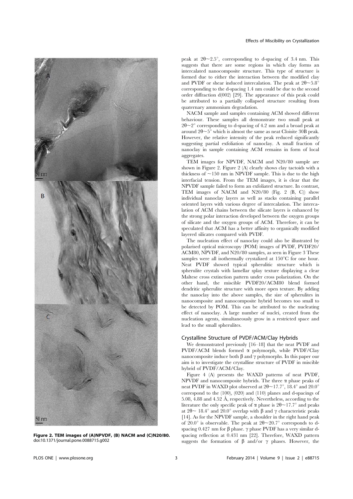

Figure 2. TEM images of (A)NPVDF, (B) NACM and (C)N20/80. doi:10.1371/journal.pone.0088715.g002

peak at  $2\theta \sim 2.5^{\circ}$ , corresponding to d-spacing of 3.4 nm. This suggests that there are some regions in which clay forms an intercalated nanocomposite structure. This type of structure is formed due to either the interaction between the modified clay and PVDF or shear induced intercalation. The peak at  $2\theta \sim 5.8^{\circ}$ corresponding to the d-spacing 1.4 nm could be due to the second order diffraction d(002) [29]. The appearance of this peak could be attributed to a partially collapsed structure resulting from quaternary ammonium degradation.

NACM sample and samples containing ACM showed different behaviour. These samples all demonstrate two small peak at  $2\theta$ ~2° corresponding to d-spacing of 4.2 nm and a broad peak at around  $2\theta \sim 5^{\circ}$  which is almost the same as neat Cloisite 30B peak. However, the relative intensity of the peak reduced significantly suggesting partial exfoliation of nanoclay. A small fraction of nanoclay in sample containing ACM remains in form of local aggregates.

TEM images for NPVDF, NACM and N20/80 sample are shown in Figure 2. Figure 2 (A) clearly shows clay tactoids with a thickness of  $\sim$ 150 nm in NPVDF sample. This is due to the high interfacial tension. From the TEM images, it is clear that the NPVDF sample failed to form an exfoliated structure. In contrast, TEM images of NACM and N20/80 (Fig. 2 (B, C)) show individual nanoclay layers as well as stacks containing parallel oriented layers with various degree of intercalation. The intercalation of ACM chains between the silicate layers is enhanced by the strong polar interaction developed between the oxygen groups of silicate and the oxygen groups of ACM. Therefore, it can be speculated that ACM has a better affinity to organically modified layered silicates compared with PVDF.

The nucleation effect of nanoclay could also be illustrated by polarised optical microscopy (POM) images of PVDF, PVDF20/ ACM80, NPVDF, and N20/80 samples, as seen in Figure 3 These samples were all isothermally crystalized at  $150^{\circ}$ C for one hour. Neat PVDF showed typical spherulitic structure which is spherulite crystals with lamellar splay texture displaying a clear Maltese cross extinction pattern under cross polarization. On the other hand, the miscible PVDF20/ACM80 blend formed dendritic spherulite structure with more open texture. By adding the nanoclay into the above samples, the size of spherulites in nanocomposite and nanocomposite hybrid becomes too small to be detected by POM. This can be attributed to the nucleating effect of nanoclay. A large number of nuclei, created from the nucleation agents, simultaneously grow in a restricted space and lead to the small spherulites.

### Crystalline Structure of PVDF/ACM/Clay Hybrids

We demonstrated previously [16–18] that the neat PVDF and PVDF/ACM blends formed  $\alpha$  polymorph, while PVDF/Clay nanocomposite induce both  $\beta$  and  $\gamma$  polymorphs. In this paper our aim is to investigate the crystalline structure of PVDF in miscible hybrid of PVDF/ACM/Clay.

Figure 4 (A) presents the WAXD patterns of neat PVDF, NPVDF and nanocomposite hybrids. The three  $\alpha$  phase peaks of neat PVDF in WAXD plot observed at  $2\theta \sim 17.7^{\circ}$ ,  $18.4^{\circ}$  and  $20.0^{\circ}$ correspond to the (100), (020) and (110) planes and d-spacings of 5.08, 4.88 and 4.52 Å, respectively. Nevertheless, according to the literature the only specific peak of  $\alpha$  phase is  $2\theta \sim 17.7^{\circ}$  and peaks at  $2\theta \sim 18.4^{\circ}$  and  $20.0^{\circ}$  overlap with  $\beta$  and  $\gamma$  characteristic peaks [14]. As for the NPVDF sample, a shoulder in the right hand peak of 20.0° is observable. The peak at  $2\theta \sim 20.7$ ° corresponds to dspacing 0.427 nm for  $\beta$  phase.  $\gamma$  phase PVDF has a very similar dspacing reflection at 0.431 nm [22]. Therefore, WAXD pattern suggests the formation of  $\beta$  and/or  $\gamma$  phases. However, the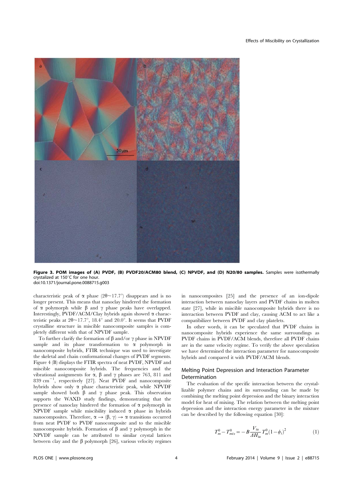

Figure 3. POM images of (A) PVDF, (B) PVDF20/ACM80 blend, (C) NPVDF, and (D) N20/80 samples. Samples were isothermally crystalized at 150 $^{\circ}$ C for one hour. doi:10.1371/journal.pone.0088715.g003

characteristic peak of  $\alpha$  phase (2 $\theta \sim 17.7^{\circ}$ ) disappears and is no longer present. This means that nanoclay hindered the formation of  $\alpha$  polymorph while  $\beta$  and  $\gamma$  phase peaks have overlapped. Interestingly, PVDF/ACM/Clay hybrids again showed  $\alpha$  characteristic peaks at  $2\theta \sim 17.7^{\circ}$ ,  $18.4^{\circ}$  and  $20.0^{\circ}$ . It seems that PVDF crystalline structure in miscible nanocomposite samples is completely different with that of NPVDF sample.

To further clarify the formation of  $\beta$  and/or  $\gamma$  phase in NPVDF sample and its phase transformation to  $\alpha$  polymorph in nanocomposite hybrids, FTIR technique was used to investigate the skeletal and chain conformational changes of PVDF segments. Figure 4 (B) displays the FTIR spectra of neat PVDF, NPVDF and miscible nanocomposite hybrids. The frequencies and the vibrational assignments for  $\alpha$ ,  $\beta$  and  $\gamma$  phases are 763, 811 and 839 cm<sup>-1</sup>, respectively [27]. Neat PVDF and nanocomposite hybrids show only a phase characteristic peak, while NPVDF sample showed both  $\beta$  and  $\gamma$  phase peak. This observation supports the WAXD study findings, demonstrating that the presence of nanoclay hindered the formation of  $\alpha$  polymorph in NPVDF sample while miscibility induced  $\alpha$  phase in hybrids nanocomposites. Therefore,  $\alpha \rightarrow (\beta, \gamma) \rightarrow \alpha$  transitions occurred from neat PVDF to PVDF nanocomposite and to the miscible nanocomposite hybrids. Formation of  $\beta$  and  $\gamma$  polymorph in the NPVDF sample can be attributed to similar crystal lattices between clay and the  $\beta$  polymorph [26], various velocity regimes in nanocomposites [25] and the presence of an ion-dipole interaction between nanoclay layers and PVDF chains in molten state [27], while in miscible nanocomposite hybrids there is no interaction between PVDF and clay, causing ACM to act like a compatibilizer between PVDF and clay platelets.

In other words, it can be speculated that PVDF chains in nanocomposite hybrids experience the same surroundings as PVDF chains in PVDF/ACM blends, therefore all PVDF chains are in the same velocity regime. To verify the above speculation we have determined the interaction parameter for nanocomposite hybrids and compared it with PVDF/ACM blends.

# Melting Point Depression and Interaction Parameter Determination

The evaluation of the specific interaction between the crystallizable polymer chains and its surrounding can be made by combining the melting point depression and the binary interaction model for heat of mixing. The relation between the melting point depression and the interaction energy parameter in the mixture can be described by the following equation [30]:

$$
T_m^0 - T_{mix}^0 = -B \frac{V_{iu}}{\Delta H_{iu}} T_m^0 (1 - \phi_i)^2
$$
 (1)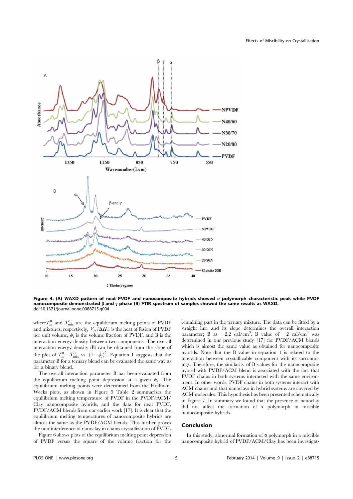

Figure 4. (A) WAXD pattern of neat PVDF and nanocomposite hybrids showed  $a$  polymorph characteristic peak while PVDF nanocomposite demonstrated  $\beta$  and  $\gamma$  phase (B) FTIR spectrum of samples showed the same results as WAXD. doi:10.1371/journal.pone.0088715.g004

where  $T_m^0$  and  $T_{mix}^0$  are the equilibrium melting points of PVDF and mixtures, respectively,  $V_{ii}/\Delta H_{ii}$  is the heat of fusion of PVDF per unit volume,  $\phi_i$  is the volume fraction of PVDF, and B is the interaction energy density between two components. The overall interaction energy density (B) can be obtained from the slope of the plot of  $T_m^0 - T_{mix}^0$  vs.  $(1 - \phi_i)^2$ . Equation 1 suggests that the parameter B for a ternary blend can be evaluated the same way as for a binary blend.

The overall interaction parameter B has been evaluated from the equilibrium melting point depression at a given  $\phi_i$ . The equilibrium melting points were determined from the Hoffman-Weeks plots, as shown in Figure 5 Table 2 summarizes the equilibrium melting temperature of PVDF in the PVDF/ACM/ Clay nanocomposite hybrids, and the data for neat PVDF, PVDF/ACM blends from our earlier work [17]. It is clear that the equilibrium melting temperatures of nanocomposite hybrids are almost the same as the PVDF/ACM blends. This further proves the non-interference of nanoclay in chains crystallization of PVDF.

Figure 6 shows plots of the equilibrium melting point depression of PVDF versus the square of the volume fraction for the

remaining part in the ternary mixture. The data can be fitted by a straight line and its slope determines the overall interaction parameter; B as  $-2.2$  cal/cm<sup>3</sup>. B value of  $-2$  cal/cm<sup>3</sup> was determined in our previous study [17] for PVDF/ACM blends which is almost the same value as obtained for nanocomposite hybrids. Note that the B value in equation 1 is related to the interaction between crystallizable component with its surroundings. Therefore, the similarity of B values for the nanocomposite hybrid with PVDF/ACM blend is associated with the fact that PVDF chains in both systems interacted with the same environment. In other words, PVDF chains in both systems interact with ACM chains and that nanoclays in hybrid systems are covered by ACM molecules. This hypothesis has been presented schematically in Figure 7. In summary we found that the presence of nanoclay did not affect the formation of  $\alpha$  polymorph in miscible nanocomposite hybrids.

# Conclusion

In this study, abnormal formation of  $\alpha$  polymorph in a miscible nanocomposite hybrid of PVDF/ACM/Clay has been investigat-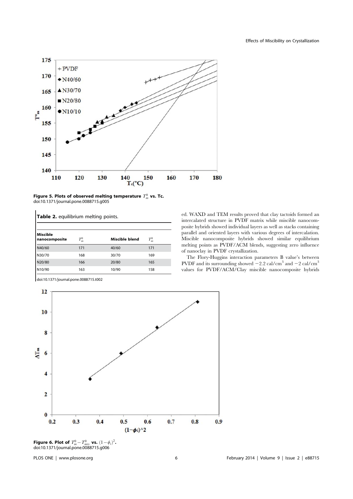

Figure 5. Plots of observed melting temperature  $T^0_m$  vs. Tc. doi:10.1371/journal.pone.0088715.g005

| <b>Table 2.</b> equilibrium melting points. |         |                |         |  |  |
|---------------------------------------------|---------|----------------|---------|--|--|
| <b>Miscible</b><br>nanocomposite            | $T_m^0$ | Miscible blend | $T_m^0$ |  |  |
| N40/60                                      | 171     | 40/60          | 171     |  |  |
| N30/70                                      | 168     | 30/70          | 169     |  |  |
| N20/80                                      | 166     | 20/80          | 165     |  |  |
| N10/90                                      | 163     | 10/90          | 158     |  |  |

doi:10.1371/journal.pone.0088715.t002

ed. WAXD and TEM results proved that clay tactoids formed an intercalated structure in PVDF matrix while miscible nanocomposite hybrids showed individual layers as well as stacks containing parallel and oriented layers with various degrees of intercalation. Miscible nanocomposite hybrids showed similar equilibrium melting points as PVDF/ACM blends, suggesting zero influence of nanoclay in PVDF crystallization.

The Flory-Huggins interaction parameters B value's between PVDF and its surrounding showed  $-2.2$  cal/cm<sup>3</sup> and  $-2$  cal/cm<sup>3</sup> values for PVDF/ACM/Clay miscible nanocomposite hybrids



Figure 6. Plot of  $T_m^0 - T_{mix}^0$  vs.  $(1 - \phi_i)^2$ . doi:10.1371/journal.pone.0088715.g006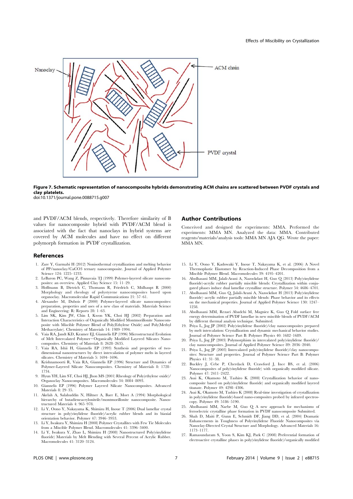

Figure 7. Schematic representation of nanocomposite hybrids demonstrating ACM chains are scattered between PVDF crystals and clay platelets.

doi:10.1371/journal.pone.0088715.g007

and PVDF/ACM blends, respectively. Therefore similarity of B values for nanocomposite hybrid with PVDF/ACM blend is associated with the fact that nanoclays in hybrid systems are covered by ACM molecules and have no effect on different polymorph formation in PVDF crystallization.

## References

- 1. Zare Y, Garmabi H (2012) Nonisothermal crystallization and melting behavior of PP/nanoclay/CaCO3 ternary nanocomposite. Journal of Applied Polymer Science 124: 1225–1233.
- 2. LeBaron PC, Wang Z, Pinnavaia TJ (1999) Polymer-layered silicate nanocomposites: an overview. Applied Clay Science 15: 11–29.
- 3. Hoffmann B, Dietrich C, Thomann R, Friedrich C, Mülhaupt R (2000) Morphology and rheology of polystyrene nanocomposites based upon and rheology of polystyrene nanocomposites based upon organoclay. Macromolecular Rapid Communications 21: 57–61.
- 4. Alexandre M, Dubois P (2000) Polymer-layered silicate nanocomposites: preparation, properties and uses of a new class of materials. Materials Science and Engineering: R: Reports 28: 1–63.
- 5. Lim SK, Kim JW, Chin I, Kwon YK, Choi HJ (2002) Preparation and Interaction Characteristics of Organically Modified Montmorillonite Nanocomposite with Miscible Polymer Blend of Poly(Ethylene Oxide) and Poly(Methyl Methacrylate). Chemistry of Materials 14: 1989–1994.
- 6. Vaia RA, Jandt KD, Kramer EJ, Giannelis EP (1996) Microstructural Evolution of Melt Intercalated Polymer-Organically Modified Layered Silicates Nanocomposites. Chemistry of Materials 8: 2628–2635.
- 7. Vaia RA, Ishii H, Giannelis EP (1993) Synthesis and properties of twodimensional nanostructures by direct intercalation of polymer melts in layered silicates. Chemistry of Materials 5: 1694–1696.
- 8. Krishnamoorti R, Vaia RA, Giannelis EP (1996) Structure and Dynamics of Polymer-Layered Silicate Nanocomposites. Chemistry of Materials 8: 1728– 1734.
- 9. Hyun YH, Lim ST, Choi HJ, Jhon MS (2001) Rheology of Poly(ethylene oxide)/ Organoclay Nanocomposites. Macromolecules 34: 8084–8093.
- 10. Giannelis EP (1996) Polymer Layered Silicate Nanocomposites. Advanced Materials 8: 29–35.
- 11. Akelah A, Salahuddin N, Hiltner A, Baer E, Moet A (1994) Morphological hierarchy of butadieneacrylonitrile/montmorillonite nanocomposite. Nanostructured Materials 4: 965–978.
- 12. Li Y, Oono Y, Nakayama K, Shimizu H, Inoue T (2006) Dual lamellar crystal structure in poly(vinylidene fluoride)/acrylic rubber blends and its biaxial orientation behavior. Polymer 47: 3946–3953.
- 13. Li Y, Iwakura Y, Shimizu H (2008) Polymer Crystallites with Few Tie Molecules from a Miscible Polymer Blend. Macromolecules 41: 3396–3400.
- 14. Li Y, Iwakura Y, Zhao L, Shimizu H (2008) Nanostructured Poly(vinylidene fluoride) Materials by Melt Blending with Several Percent of Acrylic Rubber. Macromolecules 41: 3120–3124.

### Author Contributions

Conceived and designed the experiments: MMA. Performed the experiments: MMA MN. Analyzed the data: MMA. Contributed reagents/materials/analysis tools: MMA MN AJA QG. Wrote the paper: MMA MN.

- 15. Li Y, Oono Y, Kadowaki Y, Inoue T, Nakayama K, et al. (2006) A Novel Thermoplastic Elastomer by Reaction-Induced Phase Decomposition from a Miscible Polymer Blend. Macromolecules 39: 4195–4201.
- 16. Abolhasani MM, Jalali-Arani A, Nazockdast H, Guo Q (2013) Poly(vinylidene fluoride)-acrylic rubber partially miscible blends: Crystallization within conju-gated phases induce dual lamellar crystalline structure. Polymer 54: 4686–4701.
- 17. Abolhasani MM, Guo Q, Jalali-Arani A, Nazockdast H (2013) Poly(vinylidene fluoride)–acrylic rubber partially miscible blends: Phase behavior and its effects on the mechanical properties. Journal of Applied Polymer Science 130: 1247– 1258.
- 18. Abolhasani MM, Rezaei Abadchi M, Magniez K, Guo Q Fold surface free energy determination of PVDF lamellae in new miscible blends of PVDF/ACM by different thermal analysis technique. Submitted.
- 19. Priya L, Jog JP (2002) Poly(vinylidene fluoride)/clay nanocomposites prepared by melt intercalation: Crystallization and dynamic mechanical behavior studies. Journal of Polymer Science Part B: Polymer Physics 40: 1682–1689.
- 20. Priya L, Jog JP (2003) Polymorphism in intercalated poly(vinylidene fluoride)/ clay nanocomposites. Journal of Applied Polymer Science 89: 2036–2040.
- 21. Priya L, Jog JP (2003) Intercalated poly(vinylidene fluoride)/clay nanocomposites: Structure and properties. Journal of Polymer Science Part B: Polymer Physics 41: 31–38.
- 22. Buckley J, Cebe P, Cherdack D, Crawford J, Ince BS, et al. (2006) Nanocomposites of poly(vinylidene fluoride) with organically modified silicate. Polymer 47: 2411–2422.
- 23. Asai K, Okamoto M, Tashiro K (2008) Crystallization behavior of nanocomposite based on poly(vinylidene fluoride) and organically modified layered titanate. Polymer 49: 4298–4306.
- 24. Asai K, Okamoto M, Tashiro K (2008) Real-time investigation of crystallization in poly(vinylidene fluoride)-based nano-composites probed by infrared spectroscopy. Polymer 49: 5186–5190.
- 25. Abolhasani MM, Naebe M, Guo Q A new approach for mechanisms of ferroelectric crystalline phase formation in PVDF nanocomposite Submitted.
- 26. Shah D, Maiti P, Gunn E, Schmidt DF, Jiang DD, et al. (2004) Dramatic Enhancements in Toughness of Polyvinylidene Fluoride Nanocomposites via Nanoclay-Directed Crystal Structure and Morphology. Advanced Materials 16: 1173–1177.
- 27. Ramasundaram S, Yoon S, Kim KJ, Park C (2008) Preferential formation of electroactive crystalline phases in poly(vinylidene fluoride)/organically modified